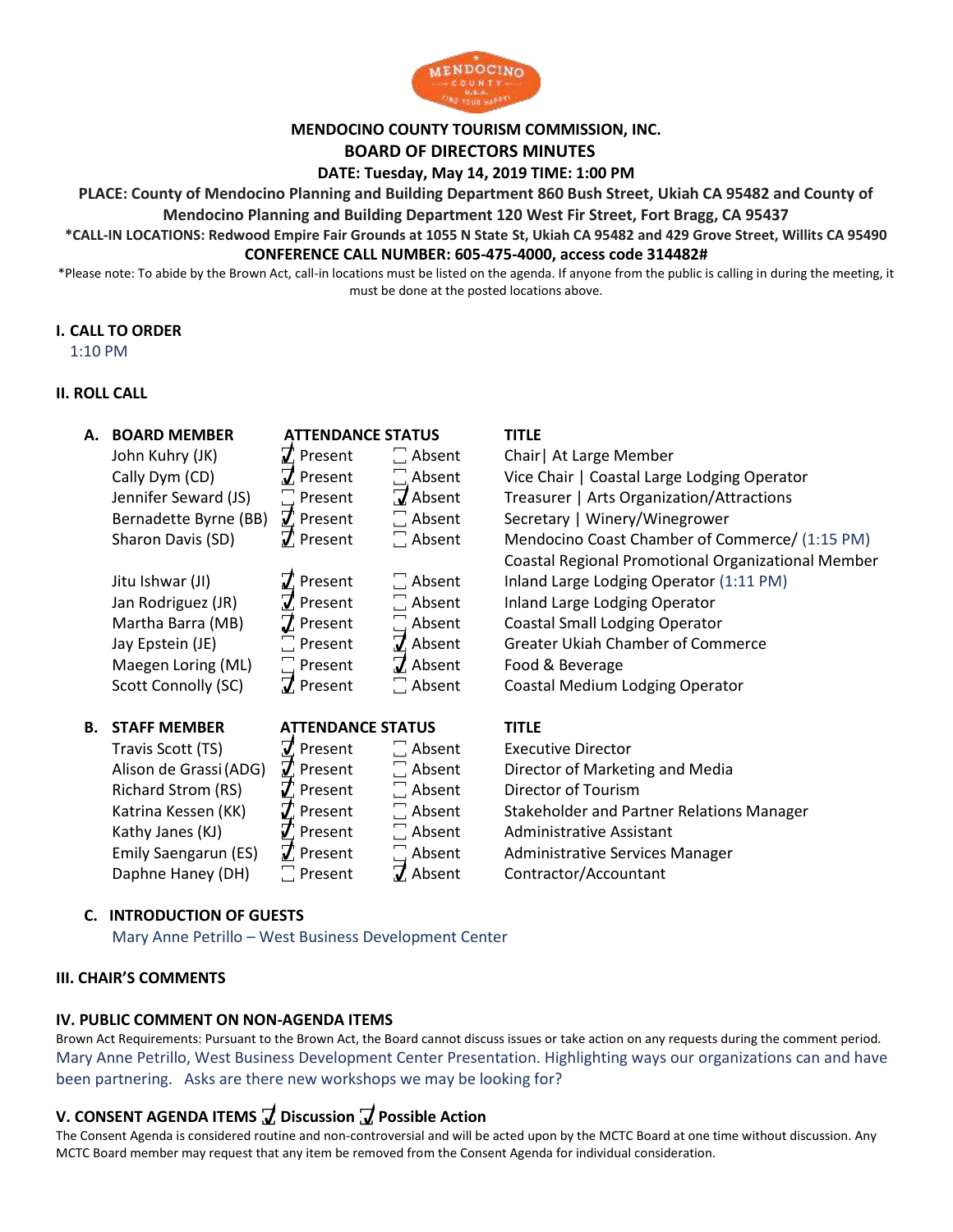

# **MENDOCINO COUNTY TOURISM COMMISSION, INC.**

# **BOARD OF DIRECTORS MINUTES**

**DATE: Tuesday, May 14, 2019 TIME: 1:00 PM**

**PLACE: County of Mendocino Planning and Building Department 860 Bush Street, Ukiah CA 95482 and County of** 

**Mendocino Planning and Building Department 120 West Fir Street, Fort Bragg, CA 95437** 

### **\*CALL-IN LOCATIONS: Redwood Empire Fair Grounds at 1055 N State St, Ukiah CA 95482 and 429 Grove Street, Willits CA 95490 CONFERENCE CALL NUMBER: 605-475-4000, access code 314482#**

\*Please note: To abide by the Brown Act, call-in locations must be listed on the agenda. If anyone from the public is calling in during the meeting, it must be done at the posted locations above.

# **I. CALL TO ORDER**

1:10 PM

# **II. ROLL CALL**

| А. | <b>BOARD MEMBER</b>    | <b>ATTENDANCE STATUS</b>           |                  | <b>TITLE</b>                                       |
|----|------------------------|------------------------------------|------------------|----------------------------------------------------|
|    | John Kuhry (JK)        | $\vec{J}$ Present                  | $\Box$ Absent    | Chair   At Large Member                            |
|    | Cally Dym (CD)         | $\vec{J}$ Present                  | $\Box$ Absent    | Vice Chair   Coastal Large Lodging Operator        |
|    | Jennifer Seward (JS)   | $\square$ Present                  | $7$ Absent       | Treasurer   Arts Organization/Attractions          |
|    | Bernadette Byrne (BB)  | $\vec{J}$ Present                  | $\Box$ Absent    | Secretary   Winery/Winegrower                      |
|    | Sharon Davis (SD)      | $\vec{J}$ Present                  | $\Box$ Absent    | Mendocino Coast Chamber of Commerce/ (1:15 PM)     |
|    |                        |                                    |                  | Coastal Regional Promotional Organizational Member |
|    | Jitu Ishwar (JI)       | $\boldsymbol{\mathcal{J}}$ Present | $\Box$ Absent    | Inland Large Lodging Operator (1:11 PM)            |
|    | Jan Rodriguez (JR)     | $\vec{J}$ Present                  | $\Box$ Absent    | Inland Large Lodging Operator                      |
|    | Martha Barra (MB)      | $\mathbf Z$ Present                | $\Box$ Absent    | <b>Coastal Small Lodging Operator</b>              |
|    | Jay Epstein (JE)       | $\Box$ Present                     | $\vec{J}$ Absent | <b>Greater Ukiah Chamber of Commerce</b>           |
|    | Maegen Loring (ML)     | $\Box$ Present                     | $J$ Absent       | Food & Beverage                                    |
|    | Scott Connolly (SC)    | $\vec{J}$ Present                  | $\Box$ Absent    | Coastal Medium Lodging Operator                    |
|    |                        |                                    |                  |                                                    |
| В. | <b>STAFF MEMBER</b>    | <b>ATTENDANCE STATUS</b>           |                  | <b>TITLE</b>                                       |
|    | Travis Scott (TS)      | $\vec{J}$ Present                  | $\Box$ Absent    | <b>Executive Director</b>                          |
|    | Alison de Grassi (ADG) | $\vec{J}$ Present                  | $\Box$ Absent    | Director of Marketing and Media                    |
|    | Richard Strom (RS)     | $\mathcal{J}$ Present              | $\Box$ Absent    | Director of Tourism                                |
|    | Katrina Kessen (KK)    | $\mathcal{J}$ Present              | $\Box$ Absent    | <b>Stakeholder and Partner Relations Manager</b>   |
|    | Kathy Janes (KJ)       | $\mathcal{T}$ Present              | $\Box$ Absent    | <b>Administrative Assistant</b>                    |
|    | Emily Saengarun (ES)   | $\vec{J}$ Present                  | $\Box$ Absent    | Administrative Services Manager                    |
|    |                        |                                    |                  |                                                    |
|    | Daphne Haney (DH)      | $\Box$ Present                     | $\vec{J}$ Absent | Contractor/Accountant                              |

# **C. INTRODUCTION OF GUESTS**

Mary Anne Petrillo – West Business Development Center

### **III. CHAIR'S COMMENTS**

### **IV. PUBLIC COMMENT ON NON-AGENDA ITEMS**

Brown Act Requirements: Pursuant to the Brown Act, the Board cannot discuss issues or take action on any requests during the comment period. Mary Anne Petrillo, West Business Development Center Presentation. Highlighting ways our organizations can and have been partnering. Asks are there new workshops we may be looking for?

# **V. CONSENT AGENDA ITEMS ꙱ Discussion ꙱ Possible Action**

The Consent Agenda is considered routine and non-controversial and will be acted upon by the MCTC Board at one time without discussion. Any MCTC Board member may request that any item be removed from the Consent Agenda for individual consideration.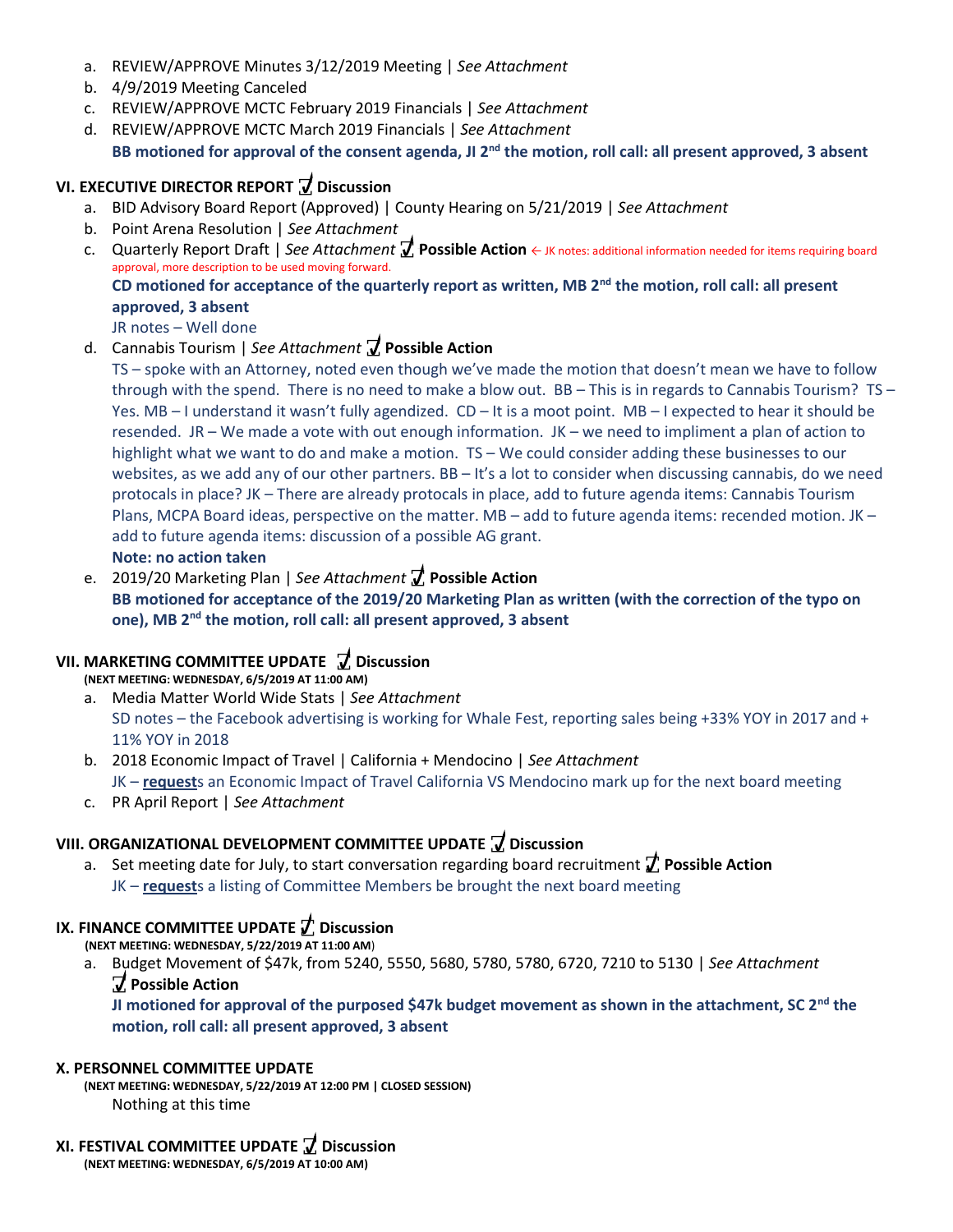- a. REVIEW/APPROVE Minutes 3/12/2019 Meeting | *See Attachment*
- b. 4/9/2019 Meeting Canceled
- c. REVIEW/APPROVE MCTC February 2019 Financials | *See Attachment*
- d. REVIEW/APPROVE MCTC March 2019 Financials | *See Attachment*

# **BB motioned for approval of the consent agenda, JI 2nd the motion, roll call: all present approved, 3 absent**

# **VI. EXECUTIVE DIRECTOR REPORT**  $\overline{Z}$  **Discussion**

- a. BID Advisory Board Report (Approved) | County Hearing on 5/21/2019 | *See Attachment*
- b. Point Arena Resolution | *See Attachment* **D**
- c. Quarterly Report Draft | *See Attachment* **꙱ Possible Action** ← JK notes: additional information needed for items requiring board **i** approval, more description to be used moving forward. **s CD motioned for acceptance of the quarterly report as written, MB 2nd the motion, roll call: all present c D**  $\mathbf{r}$

# **approved, 3 absent**

JR notes – Well done

### d. Cannabis Tourism | *See Attachment* **꙱ Possible Action h**ment **J** Possil

TS – spoke with an Attorney, noted even though we've made the motion that doesn't mean we have to follow **i u** through with the spend. There is no need to make a blow out. BB – This is in regards to Cannabis Tourism? TS – **o s** Yes. MB – I understand it wasn't fully agendized. CD – It is a moot point. MB – I expected to hear it should be **n s** resended. JR – We made a vote with out enough information. JK – we need to impliment a plan of action to **i** highlight what we want to do and make a motion. TS – We could consider adding these businesses to our highlight what we want to do and make a motion. TS – We could consider adding these businesses to our websites, as we add any of our other partners. BB – It's a lot to consider when discussing cannabis, do we need **P u** protocals in place? JK – There are already protocals in place, add to future agenda items: Cannabis Tourism **o n s** Plans, MCPA Board ideas, perspective on the matter. MB – add to future agenda items: recended motion. JK – **s ꙱ s** add to future agenda items: discussion of a possible AG grant. **s P i Note: no action taken o o D i s c**

e. 2019/20 Marketing Plan | *See Attachment* **꙱ Possible Action b s BB motioned for acceptance of the 2019/20 Marketing Plan as written (with the correction of the typo on l s ꙱ one),** MB 2<sup>nd</sup> the motion, roll call: all present approved, 3 absent **i P n g** 

#### **VII. MARKETING COMMITTEE UPDATE ꙱ Discussion**   $\Gamma$ **E**  $\overline{L}$  Discussion **s**

**(NEXT MEETING: WEDNESDAY, 6/5/2019 AT 11:00 AM)** 

- a. Media Matter World Wide Stats | *See Attachment* **t e**  SD notes – the Facebook advertising is working for Whale Fest, reporting sales being +33% YOY in 2017 and + **i A** 11% YOY in 2018 **working u s**
- b. 2018 Economic Impact of Travel | California + Mendocino | *See Attachment* **n t** JK – **request**s an Economic Impact of Travel California VS Mendocino mark up for the next board meeting **i i**<br> **l**<br> **l**<br> **l** avel Cal
- c. PR April Report | *See Attachment*

# **VIII. ORGANIZATIONAL DEVELOPMENT COMMITTEE UPDATE ꙱ Discussion ꙱ c**

a. Set meeting date for July, to start conversation regarding board recruitment *t* Possible Action JK – **request**s a listing of Committee Members be brought the next board meeting **o i o**

# **IX. FINANCE COMMITTEE UPDATE ꙱ Discussion n**

**(NEXT MEETING: WEDNESDAY, 5/22/2019 AT 11:00 AM**)

a. Budget Movement of \$47k, from 5240, 5550, 5680, 5780, 5780, 6720, 7210 to 5130 | *See Attachment* **b ꙱ Possible Action**

**JI motioned for approval of the purposed \$47k budget movement as shown in the attachment, SC 2nd the l motion, roll call: all present approved, 3 absent e A**

# **X. PERSONNEL COMMITTEE UPDATE**

**(NEXT MEETING: WEDNESDAY, 5/22/2019 AT 12:00 PM | CLOSED SESSION) t** Nothing at this time

# **XI. FESTIVAL COMMITTEE UPDATE ꙱ Discussion**

**(NEXT MEETING: WEDNESDAY, 6/5/2019 AT 10:00 AM)**